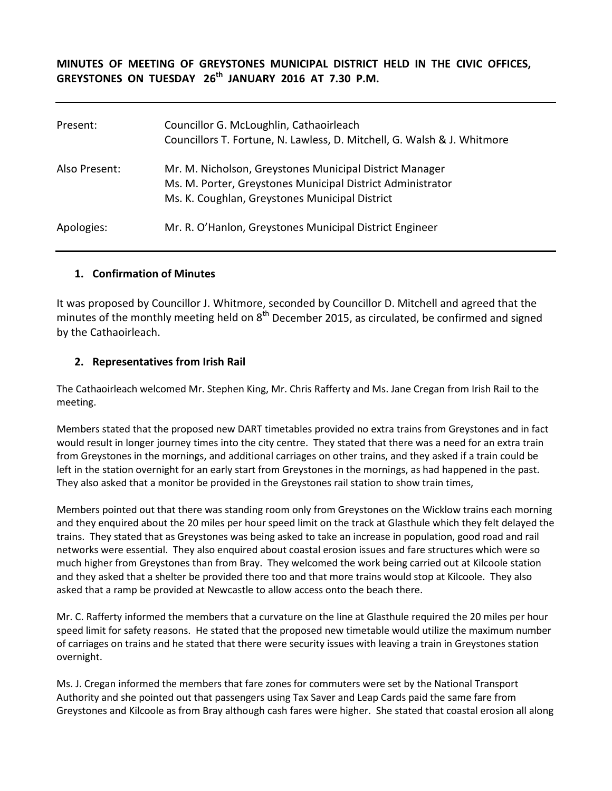## **MINUTES OF MEETING OF GREYSTONES MUNICIPAL DISTRICT HELD IN THE CIVIC OFFICES, GREYSTONES ON TUESDAY 26th JANUARY 2016 AT 7.30 P.M.**

| Present:      | Councillor G. McLoughlin, Cathaoirleach<br>Councillors T. Fortune, N. Lawless, D. Mitchell, G. Walsh & J. Whitmore                                                      |
|---------------|-------------------------------------------------------------------------------------------------------------------------------------------------------------------------|
| Also Present: | Mr. M. Nicholson, Greystones Municipal District Manager<br>Ms. M. Porter, Greystones Municipal District Administrator<br>Ms. K. Coughlan, Greystones Municipal District |
| Apologies:    | Mr. R. O'Hanlon, Greystones Municipal District Engineer                                                                                                                 |

#### **1. Confirmation of Minutes**

It was proposed by Councillor J. Whitmore, seconded by Councillor D. Mitchell and agreed that the minutes of the monthly meeting held on  $8<sup>th</sup>$  December 2015, as circulated, be confirmed and signed by the Cathaoirleach.

## **2. Representatives from Irish Rail**

The Cathaoirleach welcomed Mr. Stephen King, Mr. Chris Rafferty and Ms. Jane Cregan from Irish Rail to the meeting.

Members stated that the proposed new DART timetables provided no extra trains from Greystones and in fact would result in longer journey times into the city centre. They stated that there was a need for an extra train from Greystones in the mornings, and additional carriages on other trains, and they asked if a train could be left in the station overnight for an early start from Greystones in the mornings, as had happened in the past. They also asked that a monitor be provided in the Greystones rail station to show train times,

Members pointed out that there was standing room only from Greystones on the Wicklow trains each morning and they enquired about the 20 miles per hour speed limit on the track at Glasthule which they felt delayed the trains. They stated that as Greystones was being asked to take an increase in population, good road and rail networks were essential. They also enquired about coastal erosion issues and fare structures which were so much higher from Greystones than from Bray. They welcomed the work being carried out at Kilcoole station and they asked that a shelter be provided there too and that more trains would stop at Kilcoole. They also asked that a ramp be provided at Newcastle to allow access onto the beach there.

Mr. C. Rafferty informed the members that a curvature on the line at Glasthule required the 20 miles per hour speed limit for safety reasons. He stated that the proposed new timetable would utilize the maximum number of carriages on trains and he stated that there were security issues with leaving a train in Greystones station overnight.

Ms. J. Cregan informed the members that fare zones for commuters were set by the National Transport Authority and she pointed out that passengers using Tax Saver and Leap Cards paid the same fare from Greystones and Kilcoole as from Bray although cash fares were higher. She stated that coastal erosion all along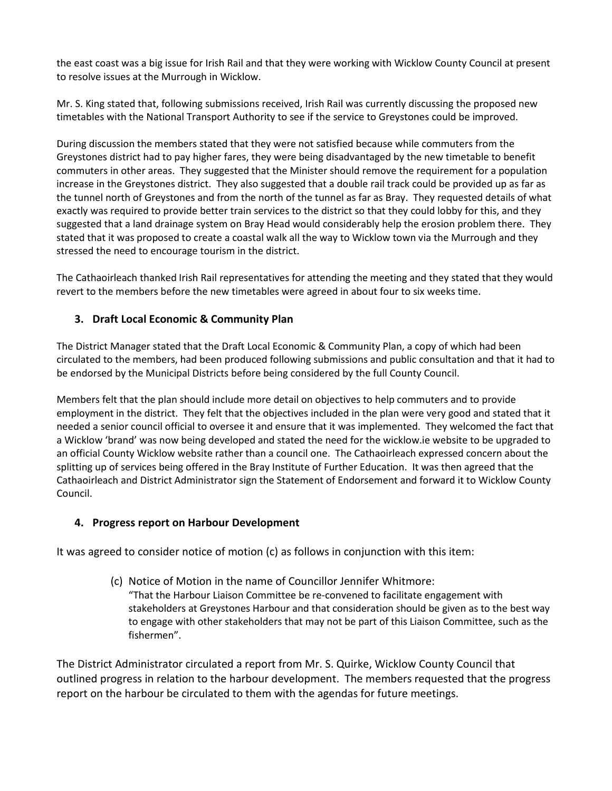the east coast was a big issue for Irish Rail and that they were working with Wicklow County Council at present to resolve issues at the Murrough in Wicklow.

Mr. S. King stated that, following submissions received, Irish Rail was currently discussing the proposed new timetables with the National Transport Authority to see if the service to Greystones could be improved.

During discussion the members stated that they were not satisfied because while commuters from the Greystones district had to pay higher fares, they were being disadvantaged by the new timetable to benefit commuters in other areas. They suggested that the Minister should remove the requirement for a population increase in the Greystones district. They also suggested that a double rail track could be provided up as far as the tunnel north of Greystones and from the north of the tunnel as far as Bray. They requested details of what exactly was required to provide better train services to the district so that they could lobby for this, and they suggested that a land drainage system on Bray Head would considerably help the erosion problem there. They stated that it was proposed to create a coastal walk all the way to Wicklow town via the Murrough and they stressed the need to encourage tourism in the district.

The Cathaoirleach thanked Irish Rail representatives for attending the meeting and they stated that they would revert to the members before the new timetables were agreed in about four to six weeks time.

# **3. Draft Local Economic & Community Plan**

The District Manager stated that the Draft Local Economic & Community Plan, a copy of which had been circulated to the members, had been produced following submissions and public consultation and that it had to be endorsed by the Municipal Districts before being considered by the full County Council.

Members felt that the plan should include more detail on objectives to help commuters and to provide employment in the district. They felt that the objectives included in the plan were very good and stated that it needed a senior council official to oversee it and ensure that it was implemented. They welcomed the fact that a Wicklow 'brand' was now being developed and stated the need for the wicklow.ie website to be upgraded to an official County Wicklow website rather than a council one. The Cathaoirleach expressed concern about the splitting up of services being offered in the Bray Institute of Further Education. It was then agreed that the Cathaoirleach and District Administrator sign the Statement of Endorsement and forward it to Wicklow County Council.

#### **4. Progress report on Harbour Development**

It was agreed to consider notice of motion (c) as follows in conjunction with this item:

(c) Notice of Motion in the name of Councillor Jennifer Whitmore:

"That the Harbour Liaison Committee be re-convened to facilitate engagement with stakeholders at Greystones Harbour and that consideration should be given as to the best way to engage with other stakeholders that may not be part of this Liaison Committee, such as the fishermen".

The District Administrator circulated a report from Mr. S. Quirke, Wicklow County Council that outlined progress in relation to the harbour development. The members requested that the progress report on the harbour be circulated to them with the agendas for future meetings.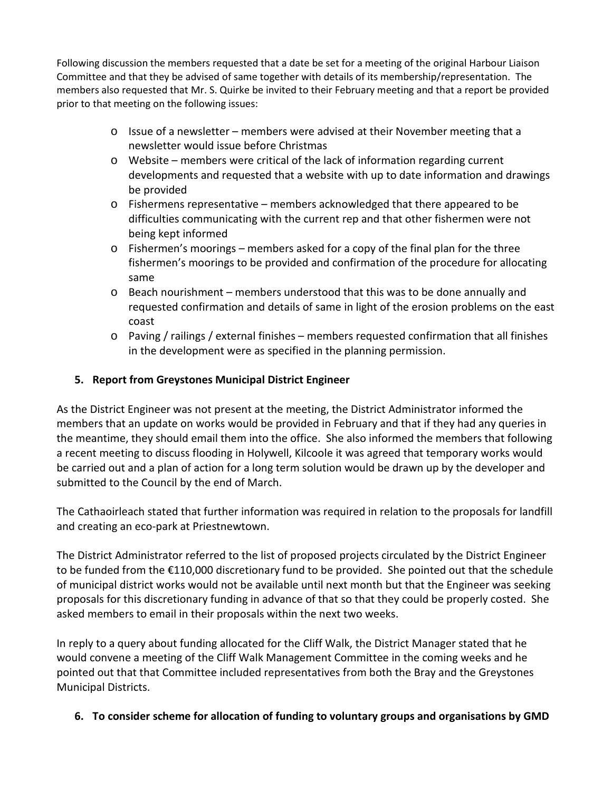Following discussion the members requested that a date be set for a meeting of the original Harbour Liaison Committee and that they be advised of same together with details of its membership/representation. The members also requested that Mr. S. Quirke be invited to their February meeting and that a report be provided prior to that meeting on the following issues:

- o Issue of a newsletter members were advised at their November meeting that a newsletter would issue before Christmas
- $\circ$  Website members were critical of the lack of information regarding current developments and requested that a website with up to date information and drawings be provided
- $\circ$  Fishermens representative members acknowledged that there appeared to be difficulties communicating with the current rep and that other fishermen were not being kept informed
- o Fishermen's moorings members asked for a copy of the final plan for the three fishermen's moorings to be provided and confirmation of the procedure for allocating same
- o Beach nourishment members understood that this was to be done annually and requested confirmation and details of same in light of the erosion problems on the east coast
- o Paving / railings / external finishes members requested confirmation that all finishes in the development were as specified in the planning permission.

# **5. Report from Greystones Municipal District Engineer**

As the District Engineer was not present at the meeting, the District Administrator informed the members that an update on works would be provided in February and that if they had any queries in the meantime, they should email them into the office. She also informed the members that following a recent meeting to discuss flooding in Holywell, Kilcoole it was agreed that temporary works would be carried out and a plan of action for a long term solution would be drawn up by the developer and submitted to the Council by the end of March.

The Cathaoirleach stated that further information was required in relation to the proposals for landfill and creating an eco-park at Priestnewtown.

The District Administrator referred to the list of proposed projects circulated by the District Engineer to be funded from the €110,000 discretionary fund to be provided. She pointed out that the schedule of municipal district works would not be available until next month but that the Engineer was seeking proposals for this discretionary funding in advance of that so that they could be properly costed. She asked members to email in their proposals within the next two weeks.

In reply to a query about funding allocated for the Cliff Walk, the District Manager stated that he would convene a meeting of the Cliff Walk Management Committee in the coming weeks and he pointed out that that Committee included representatives from both the Bray and the Greystones Municipal Districts.

# **6. To consider scheme for allocation of funding to voluntary groups and organisations by GMD**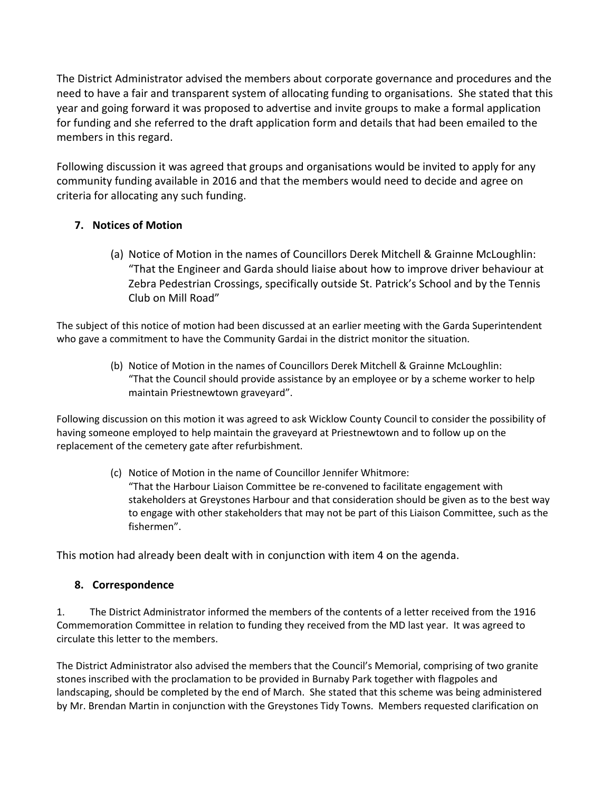The District Administrator advised the members about corporate governance and procedures and the need to have a fair and transparent system of allocating funding to organisations. She stated that this year and going forward it was proposed to advertise and invite groups to make a formal application for funding and she referred to the draft application form and details that had been emailed to the members in this regard.

Following discussion it was agreed that groups and organisations would be invited to apply for any community funding available in 2016 and that the members would need to decide and agree on criteria for allocating any such funding.

# **7. Notices of Motion**

(a) Notice of Motion in the names of Councillors Derek Mitchell & Grainne McLoughlin: "That the Engineer and Garda should liaise about how to improve driver behaviour at Zebra Pedestrian Crossings, specifically outside St. Patrick's School and by the Tennis Club on Mill Road"

The subject of this notice of motion had been discussed at an earlier meeting with the Garda Superintendent who gave a commitment to have the Community Gardai in the district monitor the situation.

> (b) Notice of Motion in the names of Councillors Derek Mitchell & Grainne McLoughlin: "That the Council should provide assistance by an employee or by a scheme worker to help maintain Priestnewtown graveyard".

Following discussion on this motion it was agreed to ask Wicklow County Council to consider the possibility of having someone employed to help maintain the graveyard at Priestnewtown and to follow up on the replacement of the cemetery gate after refurbishment.

> (c) Notice of Motion in the name of Councillor Jennifer Whitmore: "That the Harbour Liaison Committee be re-convened to facilitate engagement with stakeholders at Greystones Harbour and that consideration should be given as to the best way to engage with other stakeholders that may not be part of this Liaison Committee, such as the fishermen".

This motion had already been dealt with in conjunction with item 4 on the agenda.

## **8. Correspondence**

1. The District Administrator informed the members of the contents of a letter received from the 1916 Commemoration Committee in relation to funding they received from the MD last year. It was agreed to circulate this letter to the members.

The District Administrator also advised the members that the Council's Memorial, comprising of two granite stones inscribed with the proclamation to be provided in Burnaby Park together with flagpoles and landscaping, should be completed by the end of March. She stated that this scheme was being administered by Mr. Brendan Martin in conjunction with the Greystones Tidy Towns. Members requested clarification on